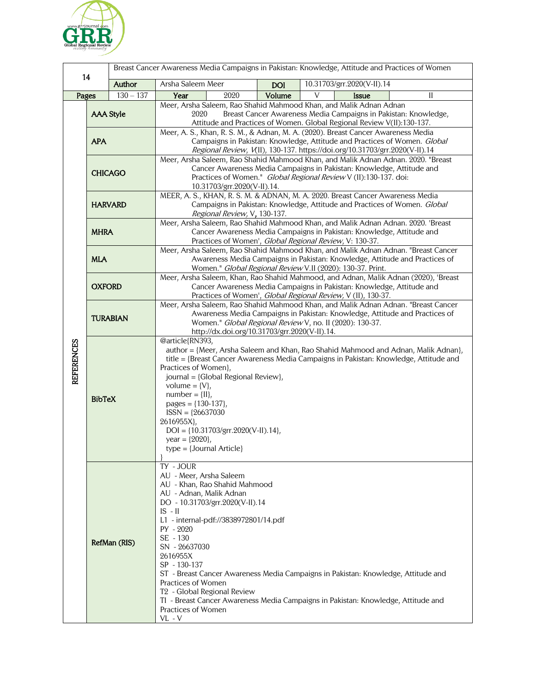

| Breast Cancer Awareness Media Campaigns in Pakistan: Knowledge, Attitude and Practices of Women                                                                                |  |  |
|--------------------------------------------------------------------------------------------------------------------------------------------------------------------------------|--|--|
| 14<br>Author<br>Arsha Saleem Meer<br>10.31703/grr.2020(V-II).14<br><b>DOI</b>                                                                                                  |  |  |
| $130 - 137$<br>Pages<br>Year<br>2020<br>Volume<br>V<br>$\mathbf{I}$<br><b>Issue</b>                                                                                            |  |  |
| Meer, Arsha Saleem, Rao Shahid Mahmood Khan, and Malik Adnan Adnan                                                                                                             |  |  |
| <b>AAA Style</b><br>Breast Cancer Awareness Media Campaigns in Pakistan: Knowledge,<br>2020                                                                                    |  |  |
| Attitude and Practices of Women. Global Regional Review V(II):130-137.<br>Meer, A. S., Khan, R. S. M., & Adnan, M. A. (2020). Breast Cancer Awareness Media                    |  |  |
| <b>APA</b><br>Campaigns in Pakistan: Knowledge, Attitude and Practices of Women. Global                                                                                        |  |  |
| Regional Review, V(II), 130-137. https://doi.org/10.31703/grr.2020(V-II).14                                                                                                    |  |  |
| Meer, Arsha Saleem, Rao Shahid Mahmood Khan, and Malik Adnan Adnan. 2020. "Breast                                                                                              |  |  |
| Cancer Awareness Media Campaigns in Pakistan: Knowledge, Attitude and<br><b>CHICAGO</b>                                                                                        |  |  |
| Practices of Women." Global Regional Review V (II):130-137. doi:<br>10.31703/grr.2020(V-II).14.                                                                                |  |  |
| MEER, A. S., KHAN, R. S. M. & ADNAN, M. A. 2020. Breast Cancer Awareness Media                                                                                                 |  |  |
| Campaigns in Pakistan: Knowledge, Attitude and Practices of Women. Global<br><b>HARVARD</b>                                                                                    |  |  |
| Regional Review, V, 130-137.                                                                                                                                                   |  |  |
| Meer, Arsha Saleem, Rao Shahid Mahmood Khan, and Malik Adnan Adnan. 2020. 'Breast                                                                                              |  |  |
| <b>MHRA</b><br>Cancer Awareness Media Campaigns in Pakistan: Knowledge, Attitude and<br>Practices of Women', Global Regional Review, V: 130-37.                                |  |  |
| Meer, Arsha Saleem, Rao Shahid Mahmood Khan, and Malik Adnan Adnan. "Breast Cancer                                                                                             |  |  |
| <b>MLA</b><br>Awareness Media Campaigns in Pakistan: Knowledge, Attitude and Practices of                                                                                      |  |  |
| Women." Global Regional Review V.II (2020): 130-37. Print.                                                                                                                     |  |  |
| Meer, Arsha Saleem, Khan, Rao Shahid Mahmood, and Adnan, Malik Adnan (2020), 'Breast<br><b>OXFORD</b><br>Cancer Awareness Media Campaigns in Pakistan: Knowledge, Attitude and |  |  |
| Practices of Women', Global Regional Review, V (II), 130-37.                                                                                                                   |  |  |
| Meer, Arsha Saleem, Rao Shahid Mahmood Khan, and Malik Adnan Adnan. "Breast Cancer                                                                                             |  |  |
| Awareness Media Campaigns in Pakistan: Knowledge, Attitude and Practices of<br><b>TURABIAN</b>                                                                                 |  |  |
| Women." Global Regional Review V, no. II (2020): 130-37.                                                                                                                       |  |  |
| http://dx.doi.org/10.31703/grr.2020(V-II).14.<br>@article{RN393,                                                                                                               |  |  |
| <b>REFERENCES</b><br>author = {Meer, Arsha Saleem and Khan, Rao Shahid Mahmood and Adnan, Malik Adnan},                                                                        |  |  |
| title = {Breast Cancer Awareness Media Campaigns in Pakistan: Knowledge, Attitude and                                                                                          |  |  |
| Practices of Women},                                                                                                                                                           |  |  |
| journal = {Global Regional Review},                                                                                                                                            |  |  |
| volume = $\{V\}$ ,                                                                                                                                                             |  |  |
| $number = \{II\},\$<br><b>BibTeX</b><br>pages = ${130-137}$ ,                                                                                                                  |  |  |
| $ISSN = {26637030}$                                                                                                                                                            |  |  |
| 2616955X},                                                                                                                                                                     |  |  |
| $DOI = \{10.31703/grr.2020(V-II).14\},\$                                                                                                                                       |  |  |
| year = ${2020}$ ,                                                                                                                                                              |  |  |
| $type = {Journal Article}$                                                                                                                                                     |  |  |
| TY - JOUR                                                                                                                                                                      |  |  |
| AU - Meer, Arsha Saleem                                                                                                                                                        |  |  |
| AU - Khan, Rao Shahid Mahmood                                                                                                                                                  |  |  |
| AU - Adnan, Malik Adnan<br>DO - 10.31703/grr.2020(V-II).14                                                                                                                     |  |  |
| $IS - II$                                                                                                                                                                      |  |  |
| L1 - internal-pdf://3838972801/14.pdf                                                                                                                                          |  |  |
| $PY - 2020$                                                                                                                                                                    |  |  |
| SE - 130<br>RefMan (RIS)                                                                                                                                                       |  |  |
| SN - 26637030                                                                                                                                                                  |  |  |
| 2616955X<br>SP - 130-137                                                                                                                                                       |  |  |
| ST - Breast Cancer Awareness Media Campaigns in Pakistan: Knowledge, Attitude and                                                                                              |  |  |
| Practices of Women                                                                                                                                                             |  |  |
| T <sub>2</sub> - Global Regional Review                                                                                                                                        |  |  |
| TI - Breast Cancer Awareness Media Campaigns in Pakistan: Knowledge, Attitude and                                                                                              |  |  |
| Practices of Women<br>$VL - V$                                                                                                                                                 |  |  |